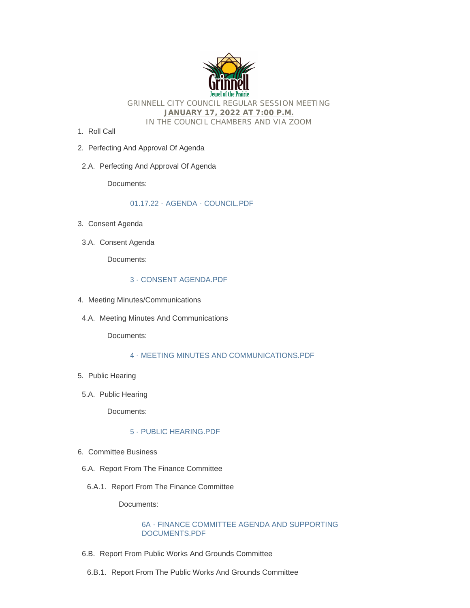

GRINNELL CITY COUNCIL REGULAR SESSION MEETING **JANUARY 17, 2022 AT 7:00 P.M.** IN THE COUNCIL CHAMBERS AND VIA ZOOM

- 1. Roll Call
- 2. Perfecting And Approval Of Agenda
- 2.A. Perfecting And Approval Of Agenda

Documents:

# [01.17.22 - AGENDA - COUNCIL.PDF](http://www.grinnelliowa.gov/AgendaCenter/ViewFile/Item/4008?fileID=2474)

- Consent Agenda 3.
- 3.A. Consent Agenda

Documents:

#### [3 - CONSENT AGENDA.PDF](http://www.grinnelliowa.gov/AgendaCenter/ViewFile/Item/4009?fileID=2472)

- 4. Meeting Minutes/Communications
- 4.A. Meeting Minutes And Communications

Documents:

# [4 - MEETING MINUTES AND COMMUNICATIONS.PDF](http://www.grinnelliowa.gov/AgendaCenter/ViewFile/Item/4011?fileID=2473)

- 5. Public Hearing
- 5.A. Public Hearing

Documents:

# [5 - PUBLIC HEARING.PDF](http://www.grinnelliowa.gov/AgendaCenter/ViewFile/Item/4010?fileID=2475)

- 6. Committee Business
- 6.A. Report From The Finance Committee
- 6.A.1. Report From The Finance Committee

Documents:

# [6A - FINANCE COMMITTEE AGENDA AND SUPPORTING](http://www.grinnelliowa.gov/AgendaCenter/ViewFile/Item/4012?fileID=2476)  DOCUMENTS.PDF

- 6.B. Report From Public Works And Grounds Committee
- 6.B.1. Report From The Public Works And Grounds Committee